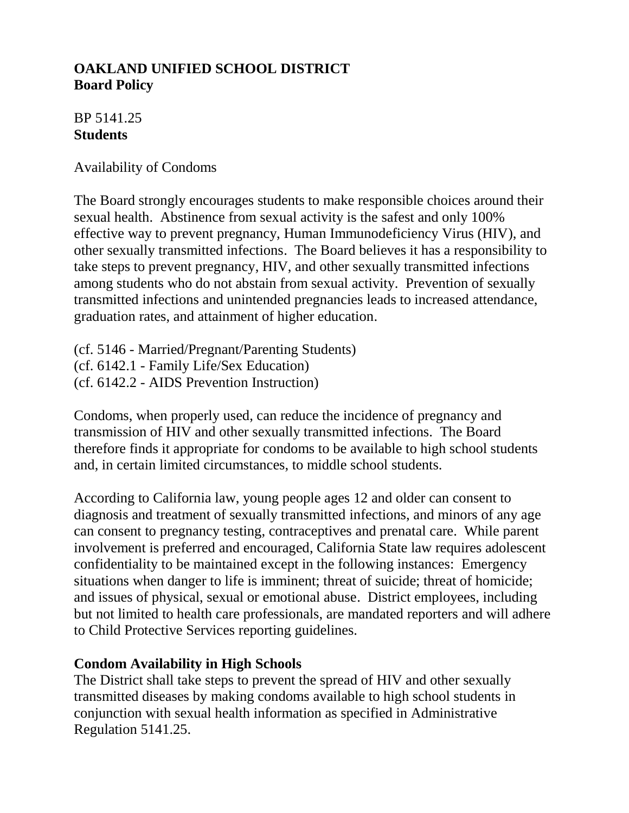# **OAKLAND UNIFIED SCHOOL DISTRICT Board Policy**

## BP 5141.25 **Students**

Availability of Condoms

The Board strongly encourages students to make responsible choices around their sexual health. Abstinence from sexual activity is the safest and only 100% effective way to prevent pregnancy, Human Immunodeficiency Virus (HIV), and other sexually transmitted infections. The Board believes it has a responsibility to take steps to prevent pregnancy, HIV, and other sexually transmitted infections among students who do not abstain from sexual activity. Prevention of sexually transmitted infections and unintended pregnancies leads to increased attendance, graduation rates, and attainment of higher education.

(cf. 5146 - Married/Pregnant/Parenting Students) (cf. 6142.1 - Family Life/Sex Education) (cf. 6142.2 - AIDS Prevention Instruction)

Condoms, when properly used, can reduce the incidence of pregnancy and transmission of HIV and other sexually transmitted infections. The Board therefore finds it appropriate for condoms to be available to high school students and, in certain limited circumstances, to middle school students.

According to California law, young people ages 12 and older can consent to diagnosis and treatment of sexually transmitted infections, and minors of any age can consent to pregnancy testing, contraceptives and prenatal care. While parent involvement is preferred and encouraged, California State law requires adolescent confidentiality to be maintained except in the following instances: Emergency situations when danger to life is imminent; threat of suicide; threat of homicide; and issues of physical, sexual or emotional abuse. District employees, including but not limited to health care professionals, are mandated reporters and will adhere to Child Protective Services reporting guidelines.

### **Condom Availability in High Schools**

The District shall take steps to prevent the spread of HIV and other sexually transmitted diseases by making condoms available to high school students in conjunction with sexual health information as specified in Administrative Regulation 5141.25.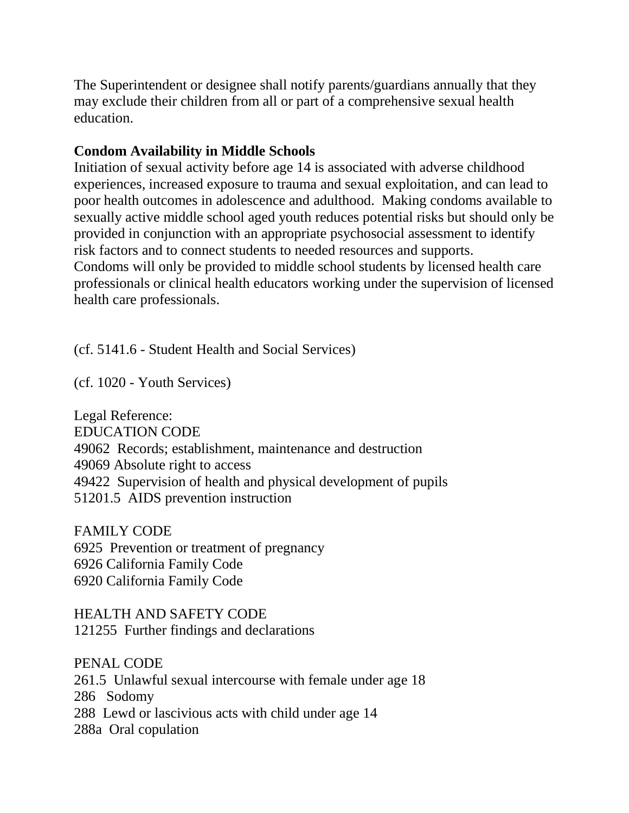The Superintendent or designee shall notify parents/guardians annually that they may exclude their children from all or part of a comprehensive sexual health education.

#### **Condom Availability in Middle Schools**

Initiation of sexual activity before age 14 is associated with adverse childhood experiences, increased exposure to trauma and sexual exploitation, and can lead to poor health outcomes in adolescence and adulthood. Making condoms available to sexually active middle school aged youth reduces potential risks but should only be provided in conjunction with an appropriate psychosocial assessment to identify risk factors and to connect students to needed resources and supports. Condoms will only be provided to middle school students by licensed health care professionals or clinical health educators working under the supervision of licensed health care professionals.

(cf. 5141.6 - Student Health and Social Services)

(cf. 1020 - Youth Services)

Legal Reference: EDUCATION CODE 49062 Records; establishment, maintenance and destruction 49069 Absolute right to access 49422 Supervision of health and physical development of pupils 51201.5 AIDS prevention instruction

FAMILY CODE 6925 Prevention or treatment of pregnancy 6926 California Family Code 6920 California Family Code

HEALTH AND SAFETY CODE 121255 Further findings and declarations

PENAL CODE 261.5 Unlawful sexual intercourse with female under age 18 286 Sodomy 288 Lewd or lascivious acts with child under age 14 288a Oral copulation